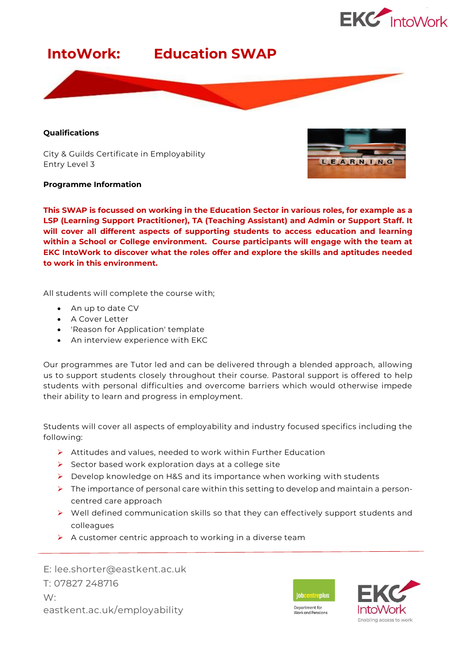



### **Qualifications**

City & Guilds Certificate in Employability Entry Level 3

### **Programme Information**



**This SWAP is focussed on working in the Education Sector in various roles, for example as a LSP (Learning Support Practitioner), TA (Teaching Assistant) and Admin or Support Staff. It will cover all different aspects of supporting students to access education and learning within a School or College environment. Course participants will engage with the team at EKC IntoWork to discover what the roles offer and explore the skills and aptitudes needed to work in this environment.**

All students will complete the course with;

- An up to date CV
- A Cover Letter
- 'Reason for Application' template
- An interview experience with EKC

Our programmes are Tutor led and can be delivered through a blended approach, allowing us to support students closely throughout their course. Pastoral support is offered to help students with personal difficulties and overcome barriers which would otherwise impede their ability to learn and progress in employment.

Students will cover all aspects of employability and industry focused specifics including the following:

- $\triangleright$  Attitudes and values, needed to work within Further Education
- ➢ Sector based work exploration days at a college site
- ➢ Develop knowledge on H&S and its importance when working with students
- ➢ The importance of personal care within this setting to develop and maintain a personcentred care approach
- ➢ Well defined communication skills so that they can effectively support students and colleagues
- $\triangleright$  A customer centric approach to working in a diverse team

E: lee.shorter@eastkent.ac.uk T: 07827 248716 W: eastkent.ac.uk/employability